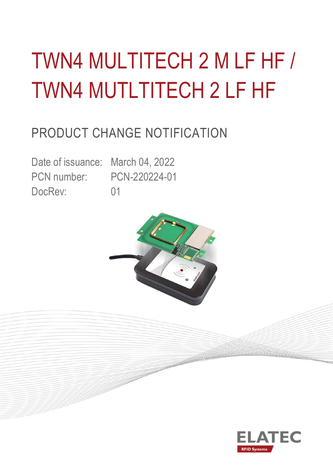# TWN4 MULTITECH 2 M LF HF / TWN4 MUTLTITECH 2 LF HF

# PRODUCT CHANGE NOTIFICATION

DocRev: 01

Date of issuance: March 04, 2022 PCN number: PCN-220224-01



art B

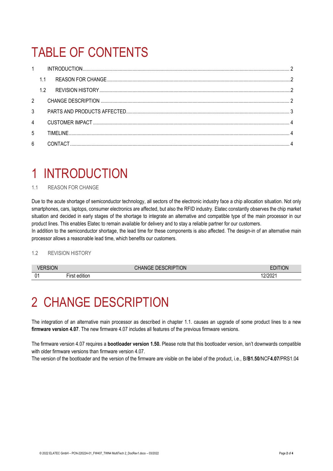# TABLE OF CONTENTS

| $1 \quad$      |     |  |  |  |  |
|----------------|-----|--|--|--|--|
|                | 1.1 |  |  |  |  |
|                | 1.2 |  |  |  |  |
| $2^{\circ}$    |     |  |  |  |  |
| $\mathcal{S}$  |     |  |  |  |  |
| $\overline{4}$ |     |  |  |  |  |
| 5              |     |  |  |  |  |
| $6\phantom{a}$ |     |  |  |  |  |

### <span id="page-1-0"></span>1 INTRODUCTION

#### <span id="page-1-1"></span>1.1 REASON FOR CHANGE

Due to the acute shortage of semiconductor technology, all sectors of the electronic industry face a chip allocation situation. Not only smartphones, cars, laptops, consumer electronics are affected, but also the RFID industry. Elatec constantly observes the chip market situation and decided in early stages of the shortage to integrate an alternative and compatible type of the main processor in our product lines. This enables Elatec to remain available for delivery and to stay a reliable partner for our customers.

In addition to the semiconductor shortage, the lead time for these components is also affected. The design-in of an alternative main processor allows a reasonable lead time, which benefits our customers.

#### <span id="page-1-2"></span>1.2 REVISION HISTORY

| .<br>JN |                                            | <b>HON</b><br>-- |              |
|---------|--------------------------------------------|------------------|--------------|
| 01      | 1.1.1<br>$- \cdot$<br>. I PA<br>וסוונ<br>ш |                  | 30004<br>.vz |

### <span id="page-1-3"></span>2 CHANGE DESCRIPTION

The integration of an alternative main processor as described in chapter 1.1. causes an upgrade of some product lines to a new **firmware version 4.07**. The new firmware 4.07 includes all features of the previous firmware versions.

The firmware version 4.07 requires a **bootloader version 1.50.** Please note that this bootloader version, isn't downwards compatible with older firmware versions than firmware version 4.07.

The version of the bootloader and the version of the firmware are visible on the label of the product, i.e., B/**B1.50**/NCF**4.07**/PRS1.04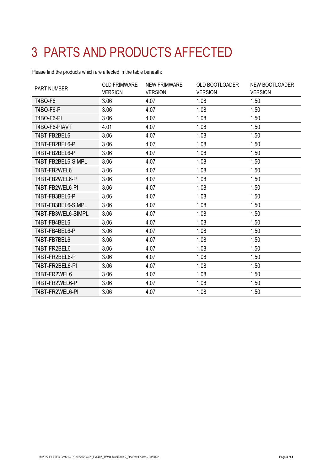# <span id="page-2-0"></span>3 PARTS AND PRODUCTS AFFECTED

Please find the products which are affected in the table beneath:

<span id="page-2-1"></span>

| <b>PART NUMBER</b> | <b>OLD FRIMWARE</b><br><b>VERSION</b> | <b>NEW FRIMWARE</b><br><b>VERSION</b> | <b>OLD BOOTLOADER</b><br><b>VERSION</b> | NEW BOOTLOADER<br><b>VERSION</b> |
|--------------------|---------------------------------------|---------------------------------------|-----------------------------------------|----------------------------------|
| T4BO-F6            | 3.06                                  | 4.07                                  | 1.08                                    | 1.50                             |
| T4BO-F6-P          | 3.06                                  | 4.07                                  | 1.08                                    | 1.50                             |
| T4BO-F6-PI         | 3.06                                  | 4.07                                  | 1.08                                    | 1.50                             |
| T4BO-F6-PIAVT      | 4.01                                  | 4.07                                  | 1.08                                    | 1.50                             |
| T4BT-FB2BEL6       | 3.06                                  | 4.07                                  | 1.08                                    | 1.50                             |
| T4BT-FB2BEL6-P     | 3.06                                  | 4.07                                  | 1.08                                    | 1.50                             |
| T4BT-FB2BEL6-PI    | 3.06                                  | 4.07                                  | 1.08                                    | 1.50                             |
| T4BT-FB2BEL6-SIMPL | 3.06                                  | 4.07                                  | 1.08                                    | 1.50                             |
| T4BT-FB2WEL6       | 3.06                                  | 4.07                                  | 1.08                                    | 1.50                             |
| T4BT-FB2WEL6-P     | 3.06                                  | 4.07                                  | 1.08                                    | 1.50                             |
| T4BT-FB2WEL6-PI    | 3.06                                  | 4.07                                  | 1.08                                    | 1.50                             |
| T4BT-FB3BEL6-P     | 3.06                                  | 4.07                                  | 1.08                                    | 1.50                             |
| T4BT-FB3BEL6-SIMPL | 3.06                                  | 4.07                                  | 1.08                                    | 1.50                             |
| T4BT-FB3WEL6-SIMPL | 3.06                                  | 4.07                                  | 1.08                                    | 1.50                             |
| T4BT-FB4BEL6       | 3.06                                  | 4.07                                  | 1.08                                    | 1.50                             |
| T4BT-FB4BEL6-P     | 3.06                                  | 4.07                                  | 1.08                                    | 1.50                             |
| T4BT-FB7BEL6       | 3.06                                  | 4.07                                  | 1.08                                    | 1.50                             |
| T4BT-FR2BEL6       | 3.06                                  | 4.07                                  | 1.08                                    | 1.50                             |
| T4BT-FR2BEL6-P     | 3.06                                  | 4.07                                  | 1.08                                    | 1.50                             |
| T4BT-FR2BEL6-PI    | 3.06                                  | 4.07                                  | 1.08                                    | 1.50                             |
| T4BT-FR2WEL6       | 3.06                                  | 4.07                                  | 1.08                                    | 1.50                             |
| T4BT-FR2WEL6-P     | 3.06                                  | 4.07                                  | 1.08                                    | 1.50                             |
| T4BT-FR2WEL6-PI    | 3.06                                  | 4.07                                  | 1.08                                    | 1.50                             |